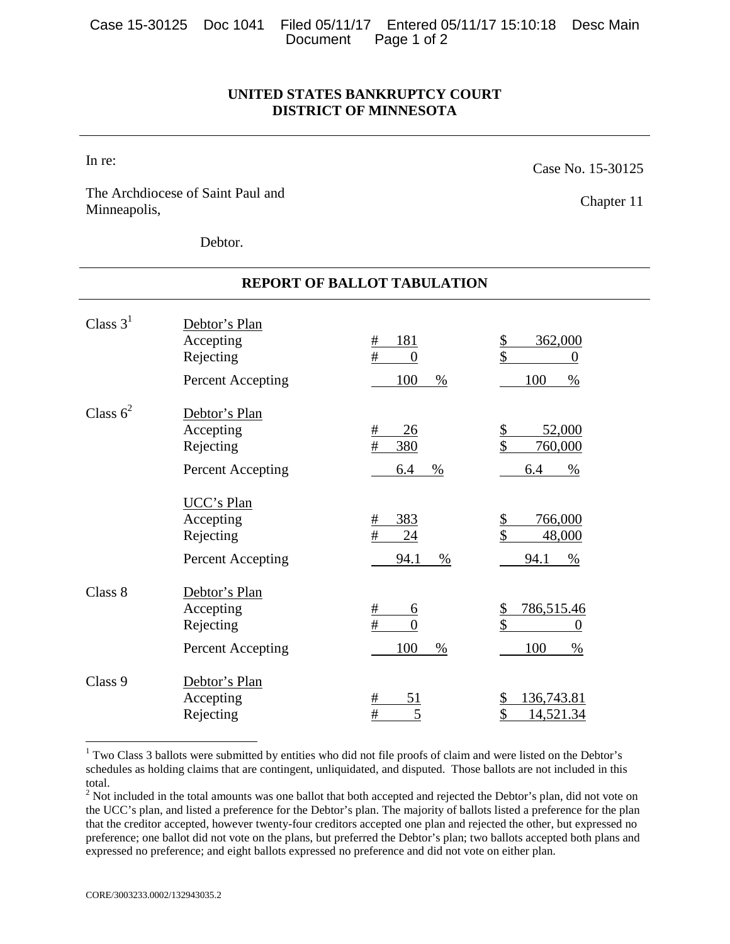|  |                      | Case 15-30125 Doc 1041 Filed 05/11/17 Entered 05/11/17 15:10:18 Desc Main |  |
|--|----------------------|---------------------------------------------------------------------------|--|
|  | Document Page 1 of 2 |                                                                           |  |

## **UNITED STATES BANKRUPTCY COURT DISTRICT OF MINNESOTA**

**REPORT OF BALLOT TABULATION** 

In re:

Case No. 15-30125

The Archdiocese of Saint Paul and Minneapolis,

Chapter 11

Debtor.

| Class $31$  | Debtor's Plan<br>Accepting<br>Rejecting                          | 181<br>#<br>$\#$<br>$\theta$                     | 362,000<br><u>\$</u><br>\$<br>$\theta$                           |
|-------------|------------------------------------------------------------------|--------------------------------------------------|------------------------------------------------------------------|
|             | Percent Accepting                                                | 100<br>%                                         | 100<br>$\%$                                                      |
| Class $6^2$ | Debtor's Plan<br>Accepting<br>Rejecting                          | 26<br>#<br>$\#$<br>380                           | 52,000<br>\$<br>\$<br>760,000                                    |
|             | Percent Accepting                                                | 6.4<br>%                                         | 6.4<br>%                                                         |
|             | <b>UCC's Plan</b><br>Accepting<br>Rejecting<br>Percent Accepting | 383<br>#<br>#<br>24<br>94.1<br>$\%$              | \$<br>766,000<br>\$<br>48,000<br>94.1<br>$\%$                    |
| Class 8     | Debtor's Plan<br>Accepting<br>Rejecting<br>Percent Accepting     | #<br><u>6</u><br>$\#$<br>$\theta$<br>100<br>$\%$ | 786,515.46<br><u>\$</u><br>\$<br>$\boldsymbol{0}$<br>100<br>$\%$ |
|             |                                                                  |                                                  |                                                                  |
| Class 9     | Debtor's Plan<br>Accepting<br>Rejecting                          | 51<br>#<br>$\#$<br>5                             | 136,743.81<br>14,521.34                                          |

## <span id="page-0-0"></span> $1$  Two Class 3 ballots were submitted by entities who did not file proofs of claim and were listed on the Debtor's schedules as holding claims that are contingent, unliquidated, and disputed. Those ballots are not included in this total.

<span id="page-0-1"></span> $2<sup>2</sup>$  Not included in the total amounts was one ballot that both accepted and rejected the Debtor's plan, did not vote on the UCC's plan, and listed a preference for the Debtor's plan. The majority of ballots listed a preference for the plan that the creditor accepted, however twenty-four creditors accepted one plan and rejected the other, but expressed no preference; one ballot did not vote on the plans, but preferred the Debtor's plan; two ballots accepted both plans and expressed no preference; and eight ballots expressed no preference and did not vote on either plan.